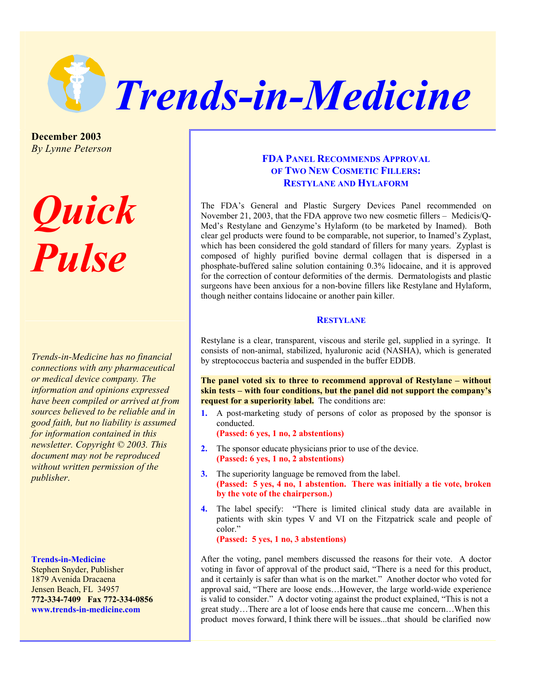

**December 2003**  *By Lynne Peterson*

# *Quick Pulse*

*Trends-in-Medicine has no financial connections with any pharmaceutical or medical device company. The information and opinions expressed have been compiled or arrived at from sources believed to be reliable and in good faith, but no liability is assumed for information contained in this newsletter. Copyright © 2003. This document may not be reproduced without written permission of the publisher*.

#### **Trends-in-Medicine**

Stephen Snyder, Publisher 1879 Avenida Dracaena Jensen Beach, FL 34957 **772-334-7409 Fax 772-334-0856 www.trends-in-medicine.com** 

## **FDA PANEL RECOMMENDS APPROVAL OF TWO NEW COSMETIC FILLERS: RESTYLANE AND HYLAFORM**

The FDA's General and Plastic Surgery Devices Panel recommended on November 21, 2003, that the FDA approve two new cosmetic fillers – Medicis/Q-Med's Restylane and Genzyme's Hylaform (to be marketed by Inamed). Both clear gel products were found to be comparable, not superior, to Inamed's Zyplast, which has been considered the gold standard of fillers for many years. Zyplast is composed of highly purified bovine dermal collagen that is dispersed in a phosphate-buffered saline solution containing 0.3% lidocaine, and it is approved for the correction of contour deformities of the dermis. Dermatologists and plastic surgeons have been anxious for a non-bovine fillers like Restylane and Hylaform, though neither contains lidocaine or another pain killer.

#### **RESTYLANE**

Restylane is a clear, transparent, viscous and sterile gel, supplied in a syringe. It consists of non-animal, stabilized, hyaluronic acid (NASHA), which is generated by streptococcus bacteria and suspended in the buffer EDDB.

**The panel voted six to three to recommend approval of Restylane – without skin tests – with four conditions, but the panel did not support the company's request for a superiority label.** The conditions are:

**1.** A post-marketing study of persons of color as proposed by the sponsor is conducted.

**(Passed: 6 yes, 1 no, 2 abstentions)**

- **2.** The sponsor educate physicians prior to use of the device. **(Passed: 6 yes, 1 no, 2 abstentions)**
- **3.** The superiority language be removed from the label. **(Passed: 5 yes, 4 no, 1 abstention. There was initially a tie vote, broken by the vote of the chairperson.)**
- **4.** The label specify: "There is limited clinical study data are available in patients with skin types V and VI on the Fitzpatrick scale and people of color."

**(Passed: 5 yes, 1 no, 3 abstentions)** 

After the voting, panel members discussed the reasons for their vote. A doctor voting in favor of approval of the product said, "There is a need for this product, and it certainly is safer than what is on the market." Another doctor who voted for approval said, "There are loose ends…However, the large world-wide experience is valid to consider." A doctor voting against the product explained, "This is not a great study…There are a lot of loose ends here that cause me concern…When this product moves forward, I think there will be issues...that should be clarified now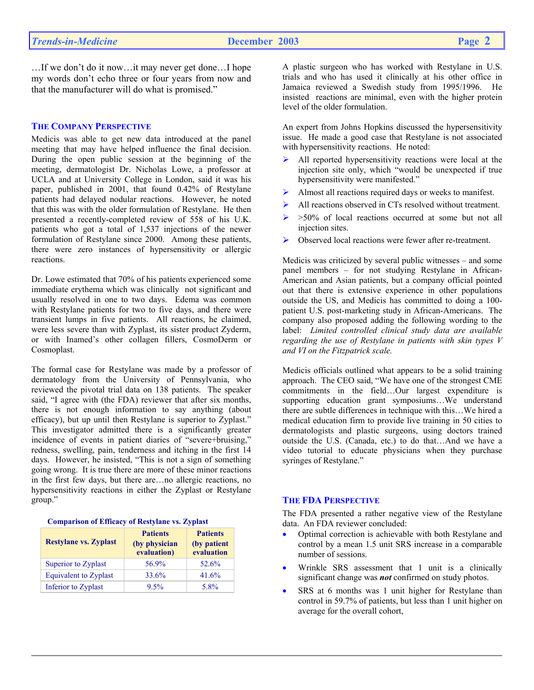…If we don't do it now…it may never get done…I hope my words don't echo three or four years from now and that the manufacturer will do what is promised."

#### **THE COMPANY PERSPECTIVE**

Medicis was able to get new data introduced at the panel meeting that may have helped influence the final decision. During the open public session at the beginning of the meeting, dermatologist Dr. Nicholas Lowe, a professor at UCLA and at University College in London, said it was his paper, published in 2001, that found 0.42% of Restylane patients had delayed nodular reactions. However, he noted that this was with the older formulation of Restylane. He then presented a recently-completed review of 558 of his U.K. patients who got a total of 1,537 injections of the newer formulation of Restylane since 2000. Among these patients, there were zero instances of hypersensitivity or allergic reactions.

Dr. Lowe estimated that 70% of his patients experienced some immediate erythema which was clinically not significant and usually resolved in one to two days. Edema was common with Restylane patients for two to five days, and there were transient lumps in five patients. All reactions, he claimed, were less severe than with Zyplast, its sister product Zyderm, or with Inamed's other collagen fillers, CosmoDerm or Cosmoplast.

The formal case for Restylane was made by a professor of dermatology from the University of Pennsylvania, who reviewed the pivotal trial data on 138 patients. The speaker said, "I agree with (the FDA) reviewer that after six months, there is not enough information to say anything (about efficacy), but up until then Restylane is superior to Zyplast." This investigator admitted there is a significantly greater incidence of events in patient diaries of "severe+bruising," redness, swelling, pain, tenderness and itching in the first 14 days. However, he insisted, "This is not a sign of something going wrong. It is true there are more of these minor reactions in the first few days, but there are…no allergic reactions, no hypersensitivity reactions in either the Zyplast or Restylane group."

| Comparison of Efficacy of Restylane vs. Zypiast |                                                 |                                              |  |  |  |
|-------------------------------------------------|-------------------------------------------------|----------------------------------------------|--|--|--|
| <b>Restylane vs. Zyplast</b>                    | <b>Patients</b><br>(by physician<br>evaluation) | <b>Patients</b><br>(by patient<br>evaluation |  |  |  |
| Superior to Zyplast                             | 56.9%                                           | 52.6%                                        |  |  |  |
| <b>Equivalent to Zyplast</b>                    | 33.6%                                           | 41.6%                                        |  |  |  |
| Inferior to Zyplast                             | 9.5%                                            | 5.8%                                         |  |  |  |

 **Comparison of Efficacy of Restylane vs. Zyplast**

A plastic surgeon who has worked with Restylane in U.S. trials and who has used it clinically at his other office in Jamaica reviewed a Swedish study from 1995/1996. He insisted reactions are minimal, even with the higher protein level of the older formulation.

An expert from Johns Hopkins discussed the hypersensitivity issue. He made a good case that Restylane is not associated with hypersensitivity reactions. He noted:

- $\triangleright$  All reported hypersensitivity reactions were local at the injection site only, which "would be unexpected if true hypersensitivity were manifested."
- Almost all reactions required days or weeks to manifest.
- All reactions observed in CTs resolved without treatment.
- $\triangleright$  >50% of local reactions occurred at some but not all injection sites.
- Observed local reactions were fewer after re-treatment.

Medicis was criticized by several public witnesses – and some panel members – for not studying Restylane in African-American and Asian patients, but a company official pointed out that there is extensive experience in other populations outside the US, and Medicis has committed to doing a 100 patient U.S. post-marketing study in African-Americans. The company also proposed adding the following wording to the label: *Limited controlled clinical study data are available regarding the use of Restylane in patients with skin types V and VI on the Fitzpatrick scale.* 

Medicis officials outlined what appears to be a solid training approach. The CEO said, "We have one of the strongest CME commitments in the field…Our largest expenditure is supporting education grant symposiums…We understand there are subtle differences in technique with this…We hired a medical education firm to provide live training in 50 cities to dermatologists and plastic surgeons, using doctors trained outside the U.S. (Canada, etc.) to do that…And we have a video tutorial to educate physicians when they purchase syringes of Restylane."

#### **THE FDA PERSPECTIVE**

The FDA presented a rather negative view of the Restylane data. An FDA reviewer concluded:

- Optimal correction is achievable with both Restylane and control by a mean 1.5 unit SRS increase in a comparable number of sessions.
- Wrinkle SRS assessment that 1 unit is a clinically significant change was *not* confirmed on study photos.
- SRS at 6 months was 1 unit higher for Restylane than control in 59.7% of patients, but less than 1 unit higher on average for the overall cohort,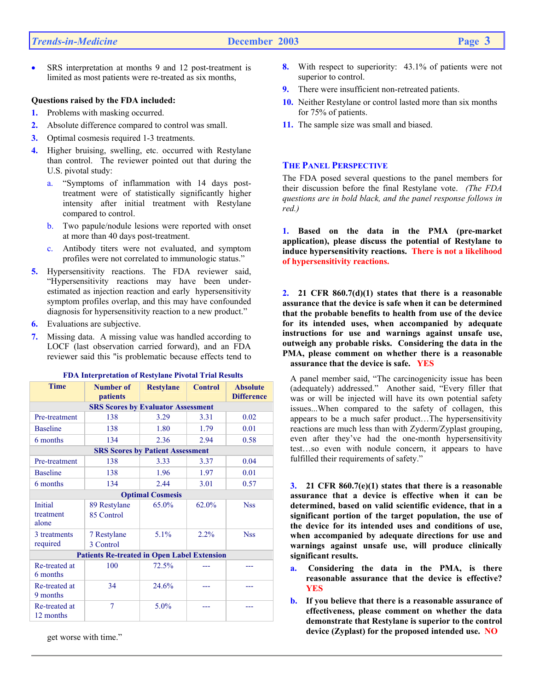SRS interpretation at months 9 and 12 post-treatment is limited as most patients were re-treated as six months,

#### **Questions raised by the FDA included:**

- **1.** Problems with masking occurred.
- **2.** Absolute difference compared to control was small.
- **3.** Optimal cosmesis required 1-3 treatments.
- **4.** Higher bruising, swelling, etc. occurred with Restylane than control. The reviewer pointed out that during the U.S. pivotal study:
	- a. "Symptoms of inflammation with 14 days posttreatment were of statistically significantly higher intensity after initial treatment with Restylane compared to control.
	- b. Two papule/nodule lesions were reported with onset at more than 40 days post-treatment.
	- c. Antibody titers were not evaluated, and symptom profiles were not correlated to immunologic status."
- **5.** Hypersensitivity reactions. The FDA reviewer said, "Hypersensitivity reactions may have been underestimated as injection reaction and early hypersensitivity symptom profiles overlap, and this may have confounded diagnosis for hypersensitivity reaction to a new product."
- **6.** Evaluations are subjective.
- **7.** Missing data. A missing value was handled according to LOCF (last observation carried forward), and an FDA reviewer said this "is problematic because effects tend to

| <b>Time</b>                                        | <b>Number of</b><br>patients | <b>Restylane</b> | <b>Control</b> | <b>Absolute</b><br><b>Difference</b> |  |  |  |
|----------------------------------------------------|------------------------------|------------------|----------------|--------------------------------------|--|--|--|
| <b>SRS Scores by Evaluator Assessment</b>          |                              |                  |                |                                      |  |  |  |
| Pre-treatment                                      | 138                          | 3.29             | 3.31           | 0.02                                 |  |  |  |
| <b>Baseline</b>                                    | 138                          | 1.80             | 1.79           | 0.01                                 |  |  |  |
| 6 months                                           | 134                          | 2.36             | 2.94           | 0.58                                 |  |  |  |
| <b>SRS Scores by Patient Assessment</b>            |                              |                  |                |                                      |  |  |  |
| Pre-treatment                                      | 138                          | 3.33             | 3.37           | 0.04                                 |  |  |  |
| <b>Baseline</b>                                    | 138                          | 1.96             | 1.97           | 0.01                                 |  |  |  |
| 6 months                                           | 134                          | 2.44             | 3.01           | 0.57                                 |  |  |  |
| <b>Optimal Cosmesis</b>                            |                              |                  |                |                                      |  |  |  |
| <b>Initial</b><br>treatment<br>alone               | 89 Restylane<br>85 Control   | 65.0%            | 62.0%          | <b>Nss</b>                           |  |  |  |
| 3 treatments<br>required                           | 7 Restylane<br>3 Control     | 5.1%             | 2.2%           | <b>Nss</b>                           |  |  |  |
| <b>Patients Re-treated in Open Label Extension</b> |                              |                  |                |                                      |  |  |  |
| Re-treated at<br>6 months                          | 100                          | 72.5%            |                |                                      |  |  |  |
| Re-treated at<br>9 months                          | 34                           | 24.6%            |                |                                      |  |  |  |
| Re-treated at<br>12 months                         | 7                            | 5.0%             |                |                                      |  |  |  |

**FDA Interpretation of Restylane Pivotal Trial Results**

get worse with time."

- **8.** With respect to superiority: 43.1% of patients were not superior to control.
- **9.** There were insufficient non-retreated patients.
- **10.** Neither Restylane or control lasted more than six months for 75% of patients.
- **11.** The sample size was small and biased.

#### **THE PANEL PERSPECTIVE**

The FDA posed several questions to the panel members for their discussion before the final Restylane vote. *(The FDA questions are in bold black, and the panel response follows in red.)*

**1. Based on the data in the PMA (pre-market application), please discuss the potential of Restylane to induce hypersensitivity reactions. There is not a likelihood of hypersensitivity reactions.** 

**2. 21 CFR 860.7(d)(1) states that there is a reasonable assurance that the device is safe when it can be determined that the probable benefits to health from use of the device for its intended uses, when accompanied by adequate instructions for use and warnings against unsafe use, outweigh any probable risks. Considering the data in the PMA, please comment on whether there is a reasonable assurance that the device is safe. YES** 

A panel member said, "The carcinogenicity issue has been (adequately) addressed." Another said, "Every filler that was or will be injected will have its own potential safety issues...When compared to the safety of collagen, this appears to be a much safer product…The hypersensitivity reactions are much less than with Zyderm/Zyplast grouping, even after they've had the one-month hypersensitivity test…so even with nodule concern, it appears to have fulfilled their requirements of safety."

**3. 21 CFR 860.7(e)(1) states that there is a reasonable assurance that a device is effective when it can be determined, based on valid scientific evidence, that in a significant portion of the target population, the use of the device for its intended uses and conditions of use, when accompanied by adequate directions for use and warnings against unsafe use, will produce clinically significant results.** 

- **a. Considering the data in the PMA, is there reasonable assurance that the device is effective? YES**
- **b. If you believe that there is a reasonable assurance of effectiveness, please comment on whether the data demonstrate that Restylane is superior to the control device (Zyplast) for the proposed intended use. NO**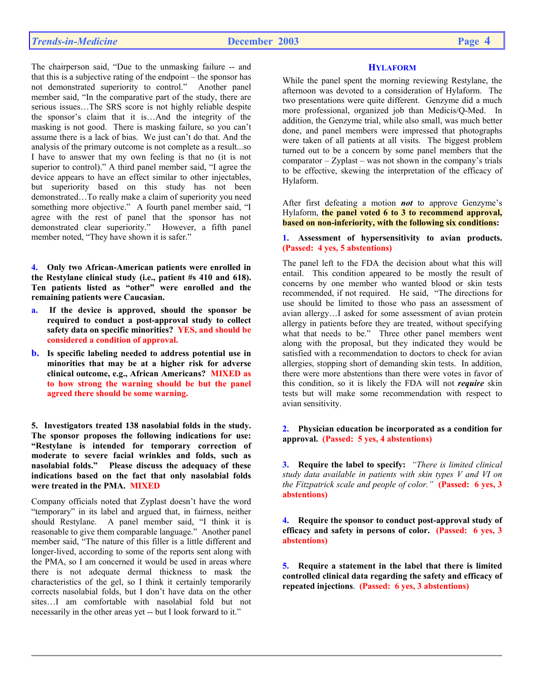The chairperson said, "Due to the unmasking failure -- and that this is a subjective rating of the endpoint – the sponsor has not demonstrated superiority to control." Another panel member said, "In the comparative part of the study, there are serious issues…The SRS score is not highly reliable despite the sponsor's claim that it is…And the integrity of the masking is not good. There is masking failure, so you can't assume there is a lack of bias. We just can't do that. And the analysis of the primary outcome is not complete as a result...so I have to answer that my own feeling is that no (it is not superior to control)." A third panel member said, "I agree the device appears to have an effect similar to other injectables, but superiority based on this study has not been demonstrated…To really make a claim of superiority you need something more objective." A fourth panel member said, "I agree with the rest of panel that the sponsor has not demonstrated clear superiority." However, a fifth panel member noted, "They have shown it is safer."

**4. Only two African-American patients were enrolled in the Restylane clinical study (i.e., patient #s 410 and 618). Ten patients listed as "other" were enrolled and the remaining patients were Caucasian.** 

- **a. If the device is approved, should the sponsor be required to conduct a post-approval study to collect safety data on specific minorities? YES, and should be considered a condition of approval.**
- **b. Is specific labeling needed to address potential use in minorities that may be at a higher risk for adverse clinical outcome, e.g., African Americans? MIXED as to how strong the warning should be but the panel agreed there should be some warning.**

**5. Investigators treated 138 nasolabial folds in the study. The sponsor proposes the following indications for use: "Restylane is intended for temporary correction of moderate to severe facial wrinkles and folds, such as nasolabial folds." Please discuss the adequacy of these indications based on the fact that only nasolabial folds were treated in the PMA. MIXED**

Company officials noted that Zyplast doesn't have the word "temporary" in its label and argued that, in fairness, neither should Restylane. A panel member said, "I think it is reasonable to give them comparable language." Another panel member said, "The nature of this filler is a little different and longer-lived, according to some of the reports sent along with the PMA, so I am concerned it would be used in areas where there is not adequate dermal thickness to mask the characteristics of the gel, so I think it certainly temporarily corrects nasolabial folds, but I don't have data on the other sites…I am comfortable with nasolabial fold but not necessarily in the other areas yet -- but I look forward to it."

#### **HYLAFORM**

While the panel spent the morning reviewing Restylane, the afternoon was devoted to a consideration of Hylaform. The two presentations were quite different. Genzyme did a much more professional, organized job than Medicis/Q-Med. In addition, the Genzyme trial, while also small, was much better done, and panel members were impressed that photographs were taken of all patients at all visits. The biggest problem turned out to be a concern by some panel members that the  $comparator - Zvplast - was not shown in the company's trials$ to be effective, skewing the interpretation of the efficacy of Hylaform.

After first defeating a motion *not* to approve Genzyme's Hylaform, **the panel voted 6 to 3 to recommend approval, based on non-inferiority, with the following six conditions:** 

**1. Assessment of hypersensitivity to avian products. (Passed: 4 yes, 5 abstentions)** 

The panel left to the FDA the decision about what this will entail. This condition appeared to be mostly the result of concerns by one member who wanted blood or skin tests recommended, if not required. He said, "The directions for use should be limited to those who pass an assessment of avian allergy…I asked for some assessment of avian protein allergy in patients before they are treated, without specifying what that needs to be." Three other panel members went along with the proposal, but they indicated they would be satisfied with a recommendation to doctors to check for avian allergies, stopping short of demanding skin tests. In addition, there were more abstentions than there were votes in favor of this condition, so it is likely the FDA will not *require* skin tests but will make some recommendation with respect to avian sensitivity.

**2. Physician education be incorporated as a condition for approval. (Passed: 5 yes, 4 abstentions)**

**3. Require the label to specify:** *"There is limited clinical study data available in patients with skin types V and VI on the Fitzpatrick scale and people of color."* **(Passed: 6 yes, 3 abstentions)** 

**4. Require the sponsor to conduct post-approval study of efficacy and safety in persons of color. (Passed: 6 yes, 3 abstentions)**

**5. Require a statement in the label that there is limited controlled clinical data regarding the safety and efficacy of repeated injections**. **(Passed: 6 yes, 3 abstentions)**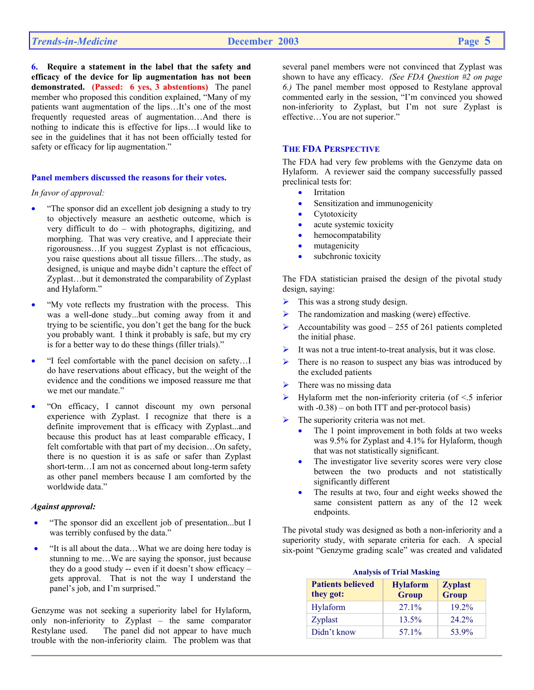**6. Require a statement in the label that the safety and efficacy of the device for lip augmentation has not been demonstrated. (Passed: 6 yes, 3 abstentions)** The panel member who proposed this condition explained, "Many of my patients want augmentation of the lips…It's one of the most frequently requested areas of augmentation…And there is nothing to indicate this is effective for lips…I would like to see in the guidelines that it has not been officially tested for safety or efficacy for lip augmentation."

#### **Panel members discussed the reasons for their votes.**

*In favor of approval:* 

- "The sponsor did an excellent job designing a study to try to objectively measure an aesthetic outcome, which is very difficult to do – with photographs, digitizing, and morphing. That was very creative, and I appreciate their rigorousness…If you suggest Zyplast is not efficacious, you raise questions about all tissue fillers…The study, as designed, is unique and maybe didn't capture the effect of Zyplast…but it demonstrated the comparability of Zyplast and Hylaform."
- "My vote reflects my frustration with the process. This was a well-done study...but coming away from it and trying to be scientific, you don't get the bang for the buck you probably want. I think it probably is safe, but my cry is for a better way to do these things (filler trials)."
- "I feel comfortable with the panel decision on safety…I do have reservations about efficacy, but the weight of the evidence and the conditions we imposed reassure me that we met our mandate."
- "On efficacy, I cannot discount my own personal experience with Zyplast. I recognize that there is a definite improvement that is efficacy with Zyplast...and because this product has at least comparable efficacy, I felt comfortable with that part of my decision…On safety, there is no question it is as safe or safer than Zyplast short-term...I am not as concerned about long-term safety as other panel members because I am comforted by the worldwide data."

#### *Against approval:*

- "The sponsor did an excellent job of presentation...but I was terribly confused by the data."
- "It is all about the data…What we are doing here today is stunning to me…We are saying the sponsor, just because they do a good study -- even if it doesn't show efficacy – gets approval. That is not the way I understand the panel's job, and I'm surprised."

Genzyme was not seeking a superiority label for Hylaform, only non-inferiority to Zyplast – the same comparator Restylane used. The panel did not appear to have much trouble with the non-inferiority claim. The problem was that

several panel members were not convinced that Zyplast was shown to have any efficacy. *(See FDA Question #2 on page 6.)* The panel member most opposed to Restylane approval commented early in the session, "I'm convinced you showed non-inferiority to Zyplast, but I'm not sure Zyplast is effective…You are not superior."

### **THE FDA PERSPECTIVE**

The FDA had very few problems with the Genzyme data on Hylaform. A reviewer said the company successfully passed preclinical tests for:

- Irritation
- Sensitization and immunogenicity
- Cytotoxicity
- acute systemic toxicity
- hemocompatability
- mutagenicity
- subchronic toxicity

The FDA statistician praised the design of the pivotal study design, saying:

- $\triangleright$  This was a strong study design.
- $\triangleright$  The randomization and masking (were) effective.
- $\triangleright$  Accountability was good 255 of 261 patients completed the initial phase.
- It was not a true intent-to-treat analysis, but it was close.
- $\triangleright$  There is no reason to suspect any bias was introduced by the excluded patients
- There was no missing data
- ¾ Hylaform met the non-inferiority criteria (of <.5 inferior with  $-0.38$ ) – on both ITT and per-protocol basis)
- The superiority criteria was not met.
	- The 1 point improvement in both folds at two weeks was 9.5% for Zyplast and 4.1% for Hylaform, though that was not statistically significant.
	- The investigator live severity scores were very close between the two products and not statistically significantly different
	- The results at two, four and eight weeks showed the same consistent pattern as any of the 12 week endpoints.

The pivotal study was designed as both a non-inferiority and a superiority study, with separate criteria for each. A special six-point "Genzyme grading scale" was created and validated

| Analysis of Trial Masking             |                                 |                                |  |  |  |
|---------------------------------------|---------------------------------|--------------------------------|--|--|--|
| <b>Patients believed</b><br>they got: | <b>Hylaform</b><br><b>Group</b> | <b>Zyplast</b><br><b>Group</b> |  |  |  |
| Hylaform                              | 27.1%                           | 19.2%                          |  |  |  |
| Zyplast                               | 13.5%                           | $24.2\%$                       |  |  |  |
| Didn't know                           | 57.1%                           | 53.9%                          |  |  |  |

# **Analysis of Trial Masking**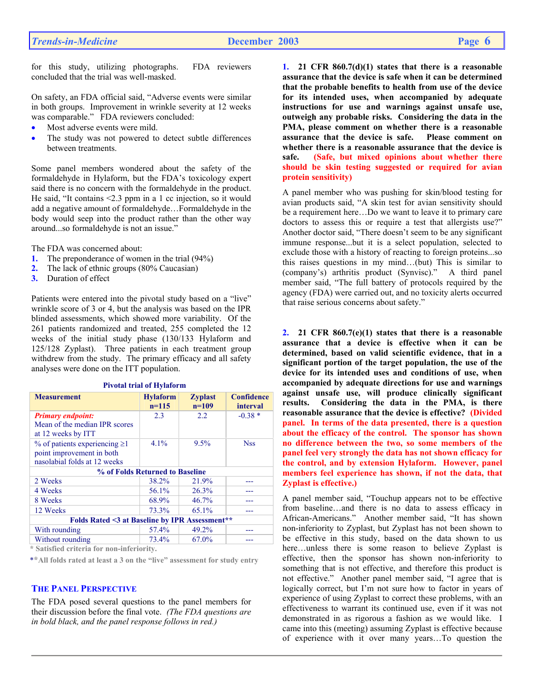for this study, utilizing photographs. FDA reviewers concluded that the trial was well-masked.

On safety, an FDA official said, "Adverse events were similar in both groups. Improvement in wrinkle severity at 12 weeks was comparable." FDA reviewers concluded:

- Most adverse events were mild.
- The study was not powered to detect subtle differences between treatments.

Some panel members wondered about the safety of the formaldehyde in Hylaform, but the FDA's toxicology expert said there is no concern with the formaldehyde in the product. He said, "It contains <2.3 ppm in a 1 cc injection, so it would add a negative amount of formaldehyde…Formaldehyde in the body would seep into the product rather than the other way around...so formaldehyde is not an issue."

The FDA was concerned about:

- **1.** The preponderance of women in the trial (94%)
- **2.** The lack of ethnic groups (80% Caucasian)
- **3.** Duration of effect

Patients were entered into the pivotal study based on a "live" wrinkle score of 3 or 4, but the analysis was based on the IPR blinded assessments, which showed more variability. Of the 261 patients randomized and treated, 255 completed the 12 weeks of the initial study phase (130/133 Hylaform and 125/128 Zyplast). Three patients in each treatment group withdrew from the study. The primary efficacy and all safety analyses were done on the ITT population.

| <b>Measurement</b>                                                                                                                                                                                                                                                                                                                                                                                                                                                                                                                                          | <b>Hylaform</b> | <b>Zyplast</b> | <b>Confidence</b> |  |  |
|-------------------------------------------------------------------------------------------------------------------------------------------------------------------------------------------------------------------------------------------------------------------------------------------------------------------------------------------------------------------------------------------------------------------------------------------------------------------------------------------------------------------------------------------------------------|-----------------|----------------|-------------------|--|--|
|                                                                                                                                                                                                                                                                                                                                                                                                                                                                                                                                                             | $n=115$         | $n=109$        | interval          |  |  |
| <b>Primary endpoint:</b><br>Mean of the median IPR scores<br>at 12 weeks by ITT                                                                                                                                                                                                                                                                                                                                                                                                                                                                             | 2.3             | 2.2            | $-0.38*$          |  |  |
| $%$ of patients experiencing $\geq$ 1<br>point improvement in both<br>nasolabial folds at 12 weeks                                                                                                                                                                                                                                                                                                                                                                                                                                                          | 4.1%            | 9.5%           | <b>Nss</b>        |  |  |
| % of Folds Returned to Baseline                                                                                                                                                                                                                                                                                                                                                                                                                                                                                                                             |                 |                |                   |  |  |
| 2 Weeks                                                                                                                                                                                                                                                                                                                                                                                                                                                                                                                                                     | 38.2%           | 21.9%          |                   |  |  |
| 4 Weeks                                                                                                                                                                                                                                                                                                                                                                                                                                                                                                                                                     | 56.1%           | 26.3%          |                   |  |  |
| 8 Weeks                                                                                                                                                                                                                                                                                                                                                                                                                                                                                                                                                     | 68.9%           | $46.7\%$       |                   |  |  |
| 12 Weeks                                                                                                                                                                                                                                                                                                                                                                                                                                                                                                                                                    | 73.3%           | 65.1%          |                   |  |  |
| Folds Rated <3 at Baseline by IPR Assessment**                                                                                                                                                                                                                                                                                                                                                                                                                                                                                                              |                 |                |                   |  |  |
| With rounding                                                                                                                                                                                                                                                                                                                                                                                                                                                                                                                                               | 57.4%           | 49.2%          |                   |  |  |
| Without rounding<br>$\ldots \qquad \qquad \ldots \qquad \qquad \ldots \qquad \qquad \ldots \qquad \ldots \qquad \ldots \qquad \ldots \qquad \ldots \qquad \ldots \qquad \ldots \qquad \ldots \qquad \ldots \qquad \ldots \qquad \ldots \qquad \ldots \qquad \ldots \qquad \ldots \qquad \ldots \qquad \ldots \qquad \ldots \qquad \ldots \qquad \ldots \qquad \ldots \qquad \ldots \qquad \ldots \qquad \ldots \qquad \ldots \qquad \ldots \qquad \ldots \qquad \ldots \qquad \ldots \qquad \ldots \qquad \ldots \qquad \ldots \qquad \ldots \qquad \$<br>. | 73.4%           | 67.0%          |                   |  |  |

**Pivotal trial of Hylaform**

 **\* Satisfied criteria for non-inferiority.** 

\***\*All folds rated at least a 3 on the "live" assessment for study entry**

#### **THE PANEL PERSPECTIVE**

The FDA posed several questions to the panel members for their discussion before the final vote. *(The FDA questions are in bold black, and the panel response follows in red.)*

**1. 21 CFR 860.7(d)(1) states that there is a reasonable assurance that the device is safe when it can be determined that the probable benefits to health from use of the device for its intended uses, when accompanied by adequate instructions for use and warnings against unsafe use, outweigh any probable risks. Considering the data in the PMA, please comment on whether there is a reasonable assurance that the device is safe. Please comment on whether there is a reasonable assurance that the device is safe. (Safe, but mixed opinions about whether there should be skin testing suggested or required for avian protein sensitivity)**

A panel member who was pushing for skin/blood testing for avian products said, "A skin test for avian sensitivity should be a requirement here…Do we want to leave it to primary care doctors to assess this or require a test that allergists use?" Another doctor said, "There doesn't seem to be any significant immune response...but it is a select population, selected to exclude those with a history of reacting to foreign proteins...so this raises questions in my mind…(but) This is similar to (company's) arthritis product (Synvisc)." A third panel member said, "The full battery of protocols required by the agency (FDA) were carried out, and no toxicity alerts occurred that raise serious concerns about safety."

**2. 21 CFR 860.7(e)(1) states that there is a reasonable assurance that a device is effective when it can be determined, based on valid scientific evidence, that in a significant portion of the target population, the use of the device for its intended uses and conditions of use, when accompanied by adequate directions for use and warnings against unsafe use, will produce clinically significant results. Considering the data in the PMA, is there reasonable assurance that the device is effective? (Divided panel. In terms of the data presented, there is a question about the efficacy of the control. The sponsor has shown no difference between the two, so some members of the panel feel very strongly the data has not shown efficacy for the control, and by extension Hylaform. However, panel members feel experience has shown, if not the data, that Zyplast is effective.)**

A panel member said, "Touchup appears not to be effective from baseline…and there is no data to assess efficacy in African-Americans." Another member said, "It has shown non-inferiority to Zyplast, but Zyplast has not been shown to be effective in this study, based on the data shown to us here...unless there is some reason to believe Zyplast is effective, then the sponsor has shown non-inferiority to something that is not effective, and therefore this product is not effective." Another panel member said, "I agree that is logically correct, but I'm not sure how to factor in years of experience of using Zyplast to correct these problems, with an effectiveness to warrant its continued use, even if it was not demonstrated in as rigorous a fashion as we would like. I came into this (meeting) assuming Zyplast is effective because of experience with it over many years…To question the